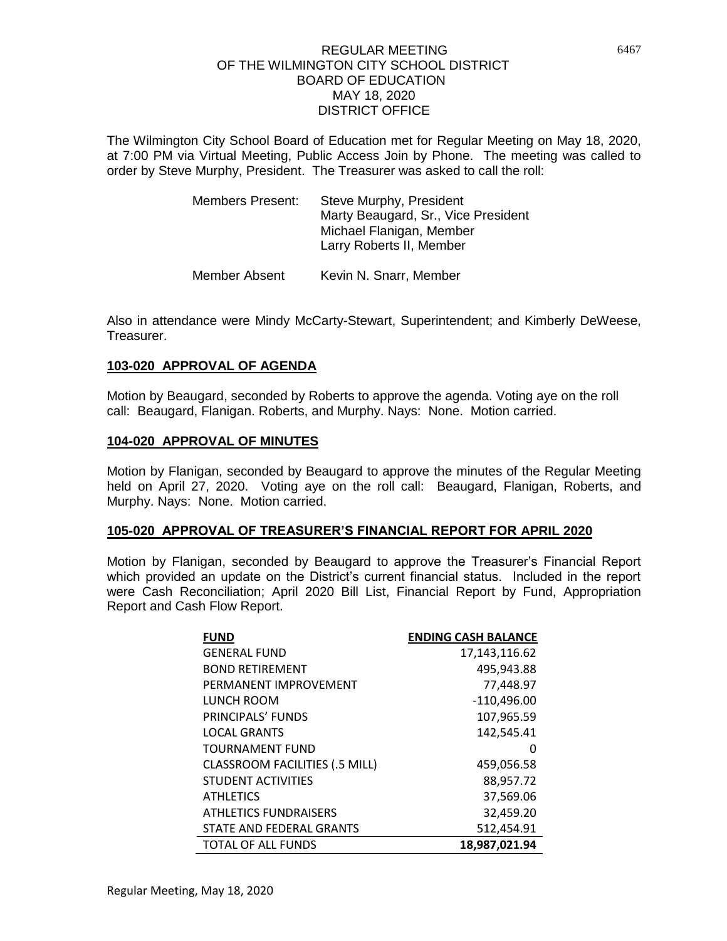The Wilmington City School Board of Education met for Regular Meeting on May 18, 2020, at 7:00 PM via Virtual Meeting, Public Access Join by Phone. The meeting was called to order by Steve Murphy, President. The Treasurer was asked to call the roll:

| <b>Members Present:</b> | Steve Murphy, President<br>Marty Beaugard, Sr., Vice President<br>Michael Flanigan, Member<br>Larry Roberts II, Member |
|-------------------------|------------------------------------------------------------------------------------------------------------------------|
| Member Absent           | Kevin N. Snarr, Member                                                                                                 |

Also in attendance were Mindy McCarty-Stewart, Superintendent; and Kimberly DeWeese, Treasurer.

## **103-020 APPROVAL OF AGENDA**

Motion by Beaugard, seconded by Roberts to approve the agenda. Voting aye on the roll call: Beaugard, Flanigan. Roberts, and Murphy. Nays: None. Motion carried.

#### **104-020 APPROVAL OF MINUTES**

Motion by Flanigan, seconded by Beaugard to approve the minutes of the Regular Meeting held on April 27, 2020. Voting aye on the roll call: Beaugard, Flanigan, Roberts, and Murphy. Nays: None. Motion carried.

#### **105-020 APPROVAL OF TREASURER'S FINANCIAL REPORT FOR APRIL 2020**

Motion by Flanigan, seconded by Beaugard to approve the Treasurer's Financial Report which provided an update on the District's current financial status. Included in the report were Cash Reconciliation; April 2020 Bill List, Financial Report by Fund, Appropriation Report and Cash Flow Report.

| <b>FUND</b>                           | <b>ENDING CASH BALANCE</b> |
|---------------------------------------|----------------------------|
| <b>GENERAL FUND</b>                   | 17,143,116.62              |
| <b>BOND RETIREMENT</b>                | 495,943.88                 |
| PFRMANFNT IMPROVEMENT                 | 77,448.97                  |
| LUNCH ROOM                            | $-110,496.00$              |
| PRINCIPALS' FUNDS                     | 107,965.59                 |
| <b>LOCAL GRANTS</b>                   | 142,545.41                 |
| <b>TOURNAMENT FUND</b>                | O                          |
| <b>CLASSROOM FACILITIES (.5 MILL)</b> | 459,056.58                 |
| <b>STUDENT ACTIVITIES</b>             | 88,957.72                  |
| <b>ATHLETICS</b>                      | 37,569.06                  |
| <b>ATHLETICS FUNDRAISERS</b>          | 32,459.20                  |
| STATE AND FEDERAL GRANTS              | 512,454.91                 |
| <b>TOTAL OF ALL FUNDS</b>             | 18,987,021.94              |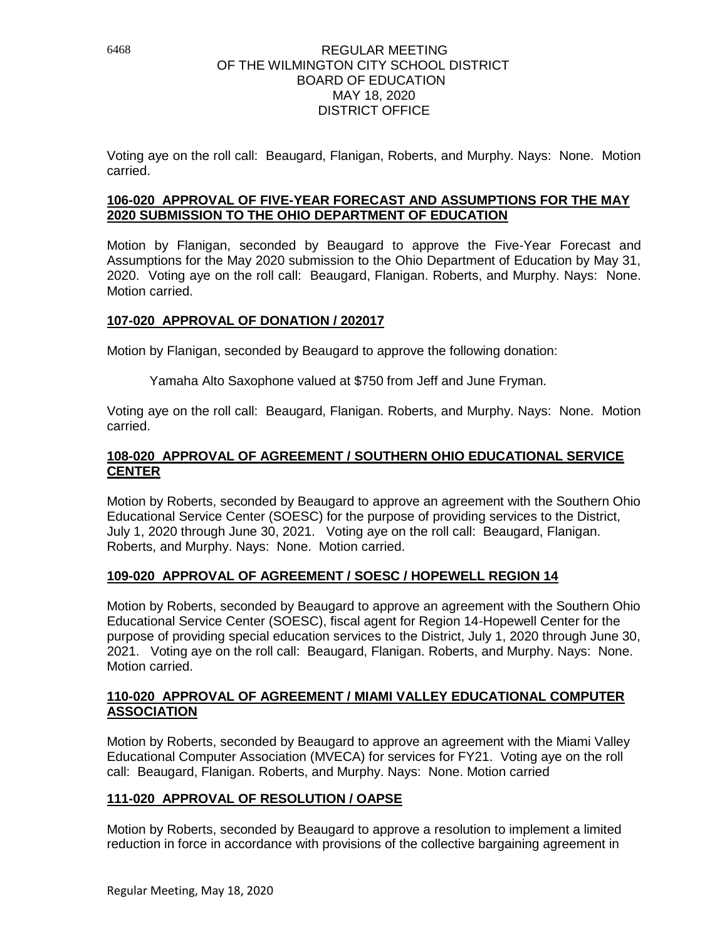Voting aye on the roll call: Beaugard, Flanigan, Roberts, and Murphy. Nays: None. Motion carried.

## **106-020 APPROVAL OF FIVE-YEAR FORECAST AND ASSUMPTIONS FOR THE MAY 2020 SUBMISSION TO THE OHIO DEPARTMENT OF EDUCATION**

Motion by Flanigan, seconded by Beaugard to approve the Five-Year Forecast and Assumptions for the May 2020 submission to the Ohio Department of Education by May 31, 2020. Voting aye on the roll call: Beaugard, Flanigan. Roberts, and Murphy. Nays: None. Motion carried.

## **107-020 APPROVAL OF DONATION / 202017**

Motion by Flanigan, seconded by Beaugard to approve the following donation:

Yamaha Alto Saxophone valued at \$750 from Jeff and June Fryman.

Voting aye on the roll call: Beaugard, Flanigan. Roberts, and Murphy. Nays: None. Motion carried.

## **108-020 APPROVAL OF AGREEMENT / SOUTHERN OHIO EDUCATIONAL SERVICE CENTER**

Motion by Roberts, seconded by Beaugard to approve an agreement with the Southern Ohio Educational Service Center (SOESC) for the purpose of providing services to the District, July 1, 2020 through June 30, 2021. Voting aye on the roll call: Beaugard, Flanigan. Roberts, and Murphy. Nays: None. Motion carried.

## **109-020 APPROVAL OF AGREEMENT / SOESC / HOPEWELL REGION 14**

Motion by Roberts, seconded by Beaugard to approve an agreement with the Southern Ohio Educational Service Center (SOESC), fiscal agent for Region 14-Hopewell Center for the purpose of providing special education services to the District, July 1, 2020 through June 30, 2021. Voting aye on the roll call: Beaugard, Flanigan. Roberts, and Murphy. Nays: None. Motion carried.

## **110-020 APPROVAL OF AGREEMENT / MIAMI VALLEY EDUCATIONAL COMPUTER ASSOCIATION**

Motion by Roberts, seconded by Beaugard to approve an agreement with the Miami Valley Educational Computer Association (MVECA) for services for FY21. Voting aye on the roll call: Beaugard, Flanigan. Roberts, and Murphy. Nays: None. Motion carried

## **111-020 APPROVAL OF RESOLUTION / OAPSE**

Motion by Roberts, seconded by Beaugard to approve a resolution to implement a limited reduction in force in accordance with provisions of the collective bargaining agreement in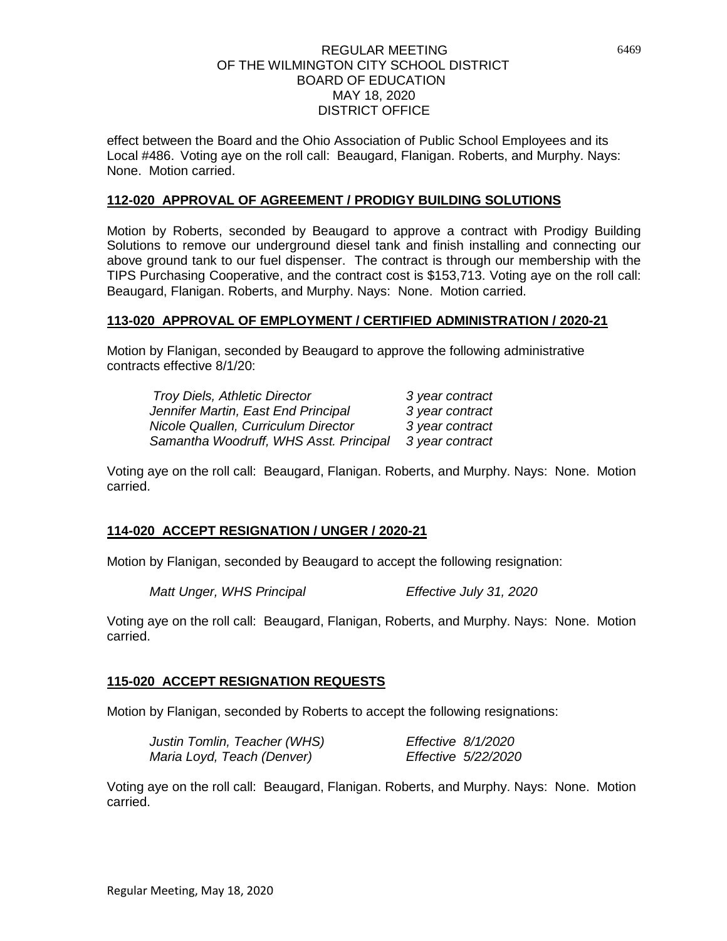effect between the Board and the Ohio Association of Public School Employees and its Local #486.Voting aye on the roll call: Beaugard, Flanigan. Roberts, and Murphy. Nays: None. Motion carried.

#### **112-020 APPROVAL OF AGREEMENT / PRODIGY BUILDING SOLUTIONS**

Motion by Roberts, seconded by Beaugard to approve a contract with Prodigy Building Solutions to remove our underground diesel tank and finish installing and connecting our above ground tank to our fuel dispenser. The contract is through our membership with the TIPS Purchasing Cooperative, and the contract cost is \$153,713. Voting aye on the roll call: Beaugard, Flanigan. Roberts, and Murphy. Nays: None. Motion carried.

#### **113-020 APPROVAL OF EMPLOYMENT / CERTIFIED ADMINISTRATION / 2020-21**

Motion by Flanigan, seconded by Beaugard to approve the following administrative contracts effective 8/1/20:

| <b>Troy Diels, Athletic Director</b>   | 3 year contract |
|----------------------------------------|-----------------|
| Jennifer Martin, East End Principal    | 3 year contract |
| Nicole Quallen, Curriculum Director    | 3 year contract |
| Samantha Woodruff, WHS Asst. Principal | 3 year contract |

Voting aye on the roll call: Beaugard, Flanigan. Roberts, and Murphy. Nays: None. Motion carried.

#### **114-020 ACCEPT RESIGNATION / UNGER / 2020-21**

Motion by Flanigan, seconded by Beaugard to accept the following resignation:

*Matt Unger, WHS Principal Effective July 31, 2020* 

Voting aye on the roll call: Beaugard, Flanigan, Roberts, and Murphy. Nays: None. Motion carried.

#### **115-020 ACCEPT RESIGNATION REQUESTS**

Motion by Flanigan, seconded by Roberts to accept the following resignations:

| Justin Tomlin, Teacher (WHS) | Effective 8/1/2020 |                     |
|------------------------------|--------------------|---------------------|
| Maria Loyd, Teach (Denver)   |                    | Effective 5/22/2020 |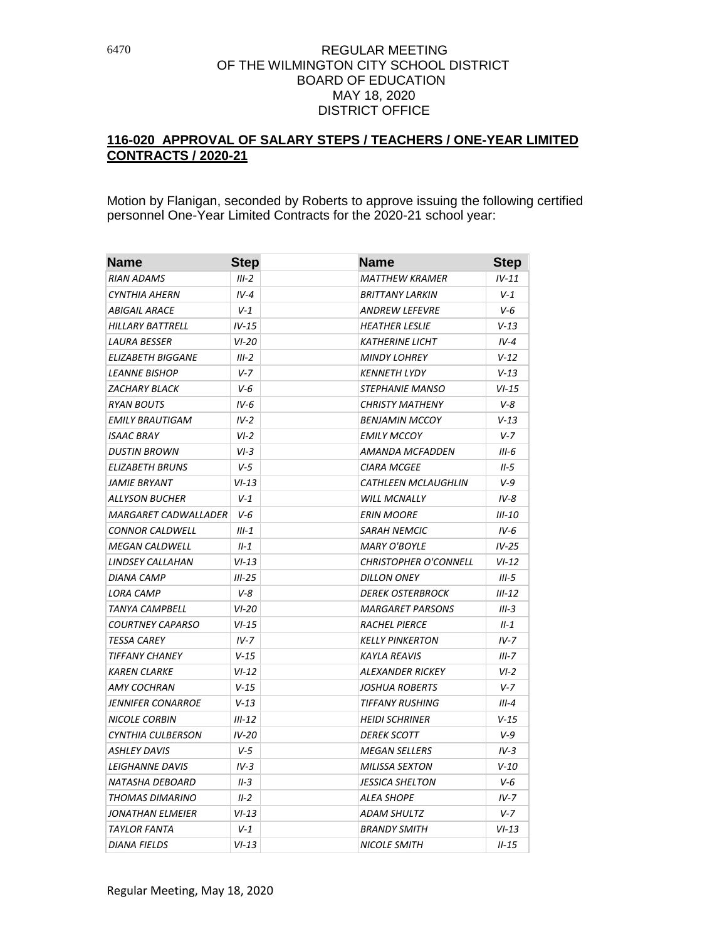# **116-020 APPROVAL OF SALARY STEPS / TEACHERS / ONE-YEAR LIMITED CONTRACTS / 2020-21**

Motion by Flanigan, seconded by Roberts to approve issuing the following certified personnel One-Year Limited Contracts for the 2020-21 school year:

| <b>Name</b>                 | <b>Step</b> | <b>Name</b>                  | <b>Step</b> |
|-----------------------------|-------------|------------------------------|-------------|
| <b>RIAN ADAMS</b>           | $III-2$     | MATTHEW KRAMER               | $IV-11$     |
| CYNTHIA AHERN               | $IV-4$      | BRITTANY LARKIN              | $V-1$       |
| <b>ABIGAIL ARACE</b>        | $V-1$       | ANDREW LEFEVRE               | $V-6$       |
| <b>HILLARY BATTRELL</b>     | $IV-15$     | <b>HEATHER LESLIE</b>        | $V-13$      |
| <b>LAURA BESSER</b>         | $VI-20$     | <b>KATHERINE LICHT</b>       | $IV-4$      |
| <b>ELIZABETH BIGGANE</b>    | $III-2$     | <b>MINDY LOHREY</b>          | $V - 12$    |
| <b>LEANNE BISHOP</b>        | $V - 7$     | <b>KENNETH LYDY</b>          | $V - 13$    |
| <b>ZACHARY BLACK</b>        | $V-6$       | <i>STEPHANIE MANSO</i>       | $VI-15$     |
| <b>RYAN BOUTS</b>           | $IV-6$      | <b>CHRISTY MATHENY</b>       | $V-8$       |
| <b>EMILY BRAUTIGAM</b>      | $IV-2$      | <b>BENJAMIN MCCOY</b>        | $V - 13$    |
| <b>ISAAC BRAY</b>           | $VI-2$      | <b>EMILY MCCOY</b>           | $V-7$       |
| <b>DUSTIN BROWN</b>         | $VI-3$      | AMANDA MCFADDEN              | $III-6$     |
| <b>ELIZABETH BRUNS</b>      | $V-5$       | <b>CIARA MCGEE</b>           | II-5        |
| JAMIE BRYANT                | $VI-13$     | <b>CATHLEEN MCLAUGHLIN</b>   | $V-9$       |
| ALLYSON BUCHER              | $V-1$       | <b>WILL MCNALLY</b>          | $IV-8$      |
| <b>MARGARET CADWALLADER</b> | V-6         | <b>ERIN MOORE</b>            | $III-10$    |
| <b>CONNOR CALDWELL</b>      | $III-1$     | <b>SARAH NEMCIC</b>          | $IV-6$      |
| MEGAN CALDWELL              | $II - 1$    | MARY O'BOYLE                 | $IV-25$     |
| LINDSEY CALLAHAN            | $VI-13$     | <b>CHRISTOPHER O'CONNELL</b> | $VI-12$     |
| <b>DIANA CAMP</b>           | $III-25$    | <b>DILLON ONEY</b>           | $III-5$     |
| <b>LORA CAMP</b>            | $V-8$       | <b>DEREK OSTERBROCK</b>      | $III-12$    |
| <b>TANYA CAMPBELL</b>       | $VI-20$     | <b>MARGARET PARSONS</b>      | $III-3$     |
| <b>COURTNEY CAPARSO</b>     | $VI-15$     | <b>RACHEL PIERCE</b>         | $II-1$      |
| <b>TESSA CAREY</b>          | $IV-7$      | <b>KELLY PINKERTON</b>       | $IV - 7$    |
| <b>TIFFANY CHANEY</b>       | $V-15$      | <b>KAYLA REAVIS</b>          | $III - 7$   |
| <b>KAREN CLARKE</b>         | $VI-12$     | <b>ALEXANDER RICKEY</b>      | $VI-2$      |
| AMY COCHRAN                 | $V-15$      | <b>JOSHUA ROBERTS</b>        | $V - 7$     |
| JENNIFER CONARROE           | $V-13$      | <b>TIFFANY RUSHING</b>       | $III-4$     |
| <b>NICOLE CORBIN</b>        | $III-12$    | <b>HEIDI SCHRINER</b>        | $V - 15$    |
| CYNTHIA CULBERSON           | $IV-20$     | <b>DEREK SCOTT</b>           | $V-9$       |
| <b>ASHLEY DAVIS</b>         | $V-5$       | MEGAN SELLERS                | $IV-3$      |
| <b>LEIGHANNE DAVIS</b>      | $IV-3$      | <b>MILISSA SEXTON</b>        | $V - 10$    |
| NATASHA DEBOARD             | $II-3$      | <b>JESSICA SHELTON</b>       | V-6         |
| THOMAS DIMARINO             | $II-2$      | ALEA SHOPE                   | $IV-7$      |
| JONATHAN ELMEIER            | $VI-13$     | ADAM SHULTZ                  | $V - 7$     |
| <b>TAYLOR FANTA</b>         | $V-1$       | <b>BRANDY SMITH</b>          | $VI-13$     |
| <b>DIANA FIELDS</b>         | $VI-13$     | <b>NICOLE SMITH</b>          | $II - 15$   |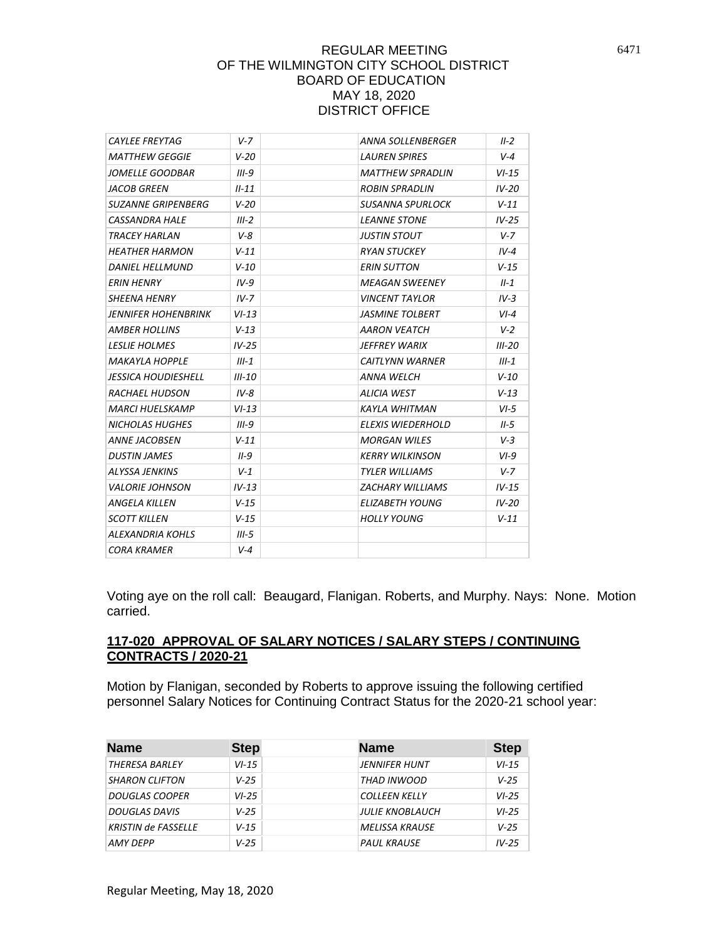| <b>CAYLEE FREYTAG</b>      | $V - 7$   | ANNA SOLLENBERGER        | $II-2$   |
|----------------------------|-----------|--------------------------|----------|
| <b>MATTHEW GEGGIE</b>      | $V-20$    | <b>LAUREN SPIRES</b>     | $V - 4$  |
| JOMELLE GOODBAR            | $III-9$   | <b>MATTHEW SPRADLIN</b>  | $VI-15$  |
| <b>JACOB GREEN</b>         | $II - 11$ | <b>ROBIN SPRADLIN</b>    | $IV-20$  |
| <b>SUZANNE GRIPENBERG</b>  | $V - 20$  | SUSANNA SPURLOCK         | $V - 11$ |
| <b>CASSANDRA HALE</b>      | $III-2$   | <b>LEANNE STONE</b>      | $IV-25$  |
| <b>TRACEY HARLAN</b>       | $V - R$   | <b>JUSTIN STOUT</b>      | $V - 7$  |
| <b>HEATHER HARMON</b>      | $V - 11$  | <b>RYAN STUCKEY</b>      | $IV-4$   |
| <b>DANIEL HELLMUND</b>     | $V - 10$  | <b>ERIN SUTTON</b>       | $V - 15$ |
| <b>ERIN HENRY</b>          | $IV-9$    | <b>MEAGAN SWEENEY</b>    | $II-1$   |
| <b>SHEENA HENRY</b>        | $IV-7$    | <b>VINCENT TAYLOR</b>    | $IV-3$   |
| <b>JENNIFER HOHENBRINK</b> | $VI-13$   | <b>JASMINE TOLBERT</b>   | $VI-4$   |
| <b>AMBER HOLLINS</b>       | $V - 13$  | <b>AARON VEATCH</b>      | $V-2$    |
| <b>LESLIE HOLMES</b>       | $IV-25$   | JEFFREY WARIX            | $III-20$ |
| <b>MAKAYLA HOPPLE</b>      | $III-1$   | <b>CAITLYNN WARNER</b>   | $III-1$  |
| <b>JESSICA HOUDIESHELL</b> | $III-10$  | <b>ANNA WELCH</b>        | $V - 10$ |
| <b>RACHAEL HUDSON</b>      | $IV-8$    | ALICIA WEST              | $V - 13$ |
| <b>MARCI HUELSKAMP</b>     | $VI-13$   | <b>KAYLA WHITMAN</b>     | $VI-5$   |
| <b>NICHOLAS HUGHES</b>     | $III-9$   | <b>ELEXIS WIEDERHOLD</b> | $II-5$   |
| <b>ANNE JACOBSEN</b>       | $V - 11$  | <b>MORGAN WILES</b>      | $V-3$    |
| <b>DUSTIN JAMES</b>        | $II-9$    | <b>KERRY WILKINSON</b>   | $VI-9$   |
| <b>ALYSSA JENKINS</b>      | $V-1$     | <b>TYLER WILLIAMS</b>    | $V - 7$  |
| <b>VALORIE JOHNSON</b>     | $IV-13$   | <b>ZACHARY WILLIAMS</b>  | $IV-15$  |
| <b>ANGELA KILLEN</b>       | $V - 15$  | ELIZABETH YOUNG          | $IV-20$  |
| <b>SCOTT KILLEN</b>        | $V - 15$  | <b>HOLLY YOUNG</b>       | $V - 11$ |
| <b>ALEXANDRIA KOHLS</b>    | $III-5$   |                          |          |
| <b>CORA KRAMER</b>         | V-4       |                          |          |

Voting aye on the roll call: Beaugard, Flanigan. Roberts, and Murphy. Nays: None. Motion carried.

#### **117-020 APPROVAL OF SALARY NOTICES / SALARY STEPS / CONTINUING CONTRACTS / 2020-21**

Motion by Flanigan, seconded by Roberts to approve issuing the following certified personnel Salary Notices for Continuing Contract Status for the 2020-21 school year:

| <b>Name</b>                | <b>Step</b> | <b>Name</b>            | <b>Step</b> |
|----------------------------|-------------|------------------------|-------------|
| <b>THERESA BARLEY</b>      | $VI-15$     | <b>JENNIFER HUNT</b>   | $VI-15$     |
| <b>SHARON CLIFTON</b>      | $V - 25$    | THAD INWOOD            | $V - 25$    |
| <b>DOUGLAS COOPER</b>      | $VI-25$     | <b>COLLEEN KELLY</b>   | $VI-25$     |
| <b>DOUGLAS DAVIS</b>       | $V - 25$    | <b>JULIE KNOBLAUCH</b> | $VI-25$     |
| <b>KRISTIN de FASSELLE</b> | $V - 15$    | <b>MELISSA KRAUSE</b>  | $V - 25$    |
| <b>AMY DEPP</b>            | $V - 25$    | <b>PAUL KRAUSE</b>     | $IV-25$     |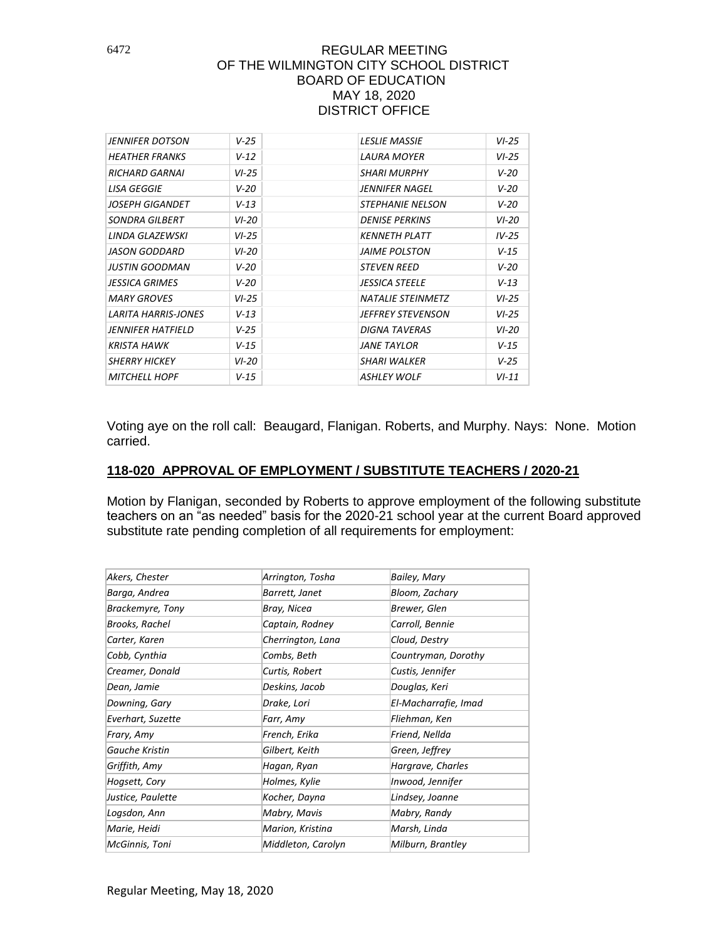| JENNIFER DOTSON            | $V - 25$ | <b>LESLIE MASSIE</b>     | $VI-25$  |
|----------------------------|----------|--------------------------|----------|
| <b>HEATHER FRANKS</b>      | $V - 12$ | LAURA MOYER              | $VI-25$  |
| <b>RICHARD GARNAI</b>      | $VI-25$  | SHARI MURPHY             | $V - 20$ |
| LISA GEGGIE                | $V - 20$ | JENNIFER NAGEL           | $V - 20$ |
| JOSEPH GIGANDET            | $V - 13$ | <b>STEPHANIE NELSON</b>  | $V - 20$ |
| SONDRA GILBERT             | $VI-20$  | <b>DENISE PERKINS</b>    | $VI-20$  |
| LINDA GLAZEWSKI            | $VI-25$  | <b>KENNETH PLATT</b>     | $IV-25$  |
| <b>JASON GODDARD</b>       | $VI-20$  | <i>JAIME POLSTON</i>     | $V-15$   |
| JUSTIN GOODMAN             | V-20     | <i>STEVEN REED</i>       | $V - 20$ |
| <b>JESSICA GRIMES</b>      | $V - 20$ | <b>JESSICA STEELE</b>    | $V - 13$ |
| <b>MARY GROVES</b>         | $VI-25$  | <b>NATALIE STEINMETZ</b> | $VI-25$  |
| <b>LARITA HARRIS-JONES</b> | $V - 13$ | JEFFREY STEVENSON        | $VI-25$  |
| JENNIFER HATFIELD          | $V - 25$ | <b>DIGNA TAVERAS</b>     | $VI-20$  |
| <b>KRISTA HAWK</b>         | $V - 15$ | <b>JANE TAYLOR</b>       | $V - 15$ |
| <b>SHERRY HICKEY</b>       | $VI-20$  | <b>SHARI WALKER</b>      | $V - 25$ |
| <b>MITCHELL HOPF</b>       | $V - 15$ | <b>ASHLEY WOLF</b>       | $VI-11$  |
|                            |          |                          |          |

Voting aye on the roll call: Beaugard, Flanigan. Roberts, and Murphy. Nays: None. Motion carried.

### **118-020 APPROVAL OF EMPLOYMENT / SUBSTITUTE TEACHERS / 2020-21**

Motion by Flanigan, seconded by Roberts to approve employment of the following substitute teachers on an "as needed" basis for the 2020-21 school year at the current Board approved substitute rate pending completion of all requirements for employment:

| Akers, Chester          | Arrington, Tosha   | Bailey, Mary         |
|-------------------------|--------------------|----------------------|
| Barga, Andrea           | Barrett, Janet     | Bloom, Zachary       |
| <b>Brackemyre, Tony</b> | Bray, Nicea        | Brewer, Glen         |
| Brooks, Rachel          | Captain, Rodney    | Carroll, Bennie      |
| Carter, Karen           | Cherrington, Lana  | Cloud, Destry        |
| Cobb, Cynthia           | Combs, Beth        | Countryman, Dorothy  |
| Creamer, Donald         | Curtis, Robert     | Custis, Jennifer     |
| Dean, Jamie             | Deskins, Jacob     | Douglas, Keri        |
| Downing, Gary           | Drake, Lori        | El-Macharrafie, Imad |
| Everhart, Suzette       | Farr, Amy          | Fliehman, Ken        |
| Frary, Amy              | French, Erika      | Friend, Nellda       |
| Gauche Kristin          | Gilbert, Keith     | Green, Jeffrey       |
| Griffith, Amy           | Hagan, Ryan        | Hargrave, Charles    |
| Hogsett, Cory           | Holmes, Kylie      | Inwood, Jennifer     |
| Justice, Paulette       | Kocher, Dayna      | Lindsey, Joanne      |
| Logsdon, Ann            | Mabry, Mavis       | Mabry, Randy         |
| Marie, Heidi            | Marion, Kristina   | Marsh, Linda         |
| McGinnis, Toni          | Middleton, Carolyn | Milburn, Brantley    |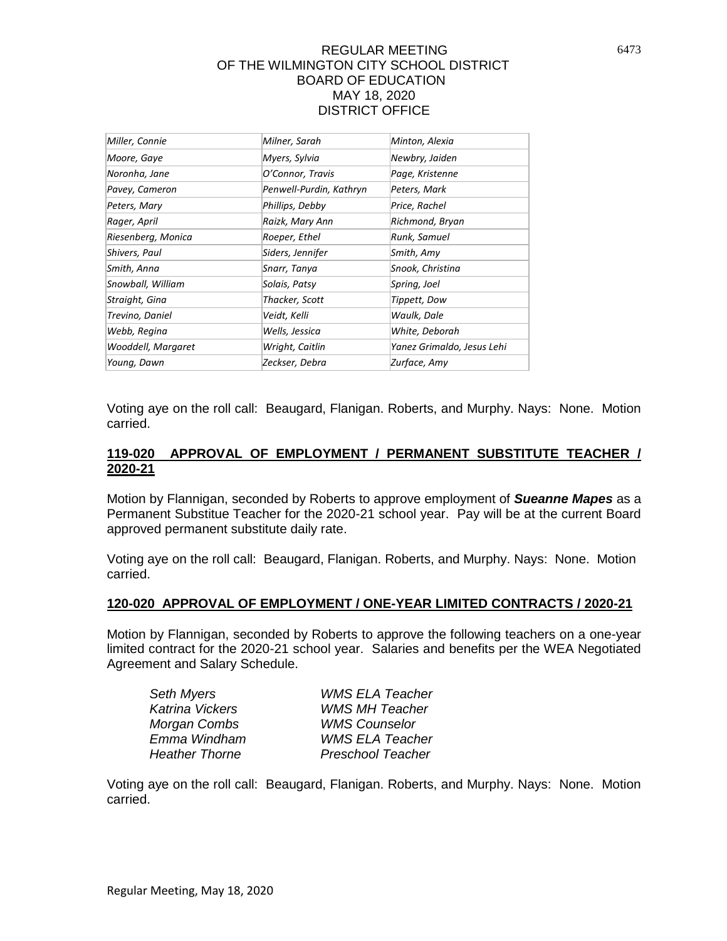| Miller, Connie     | Milner, Sarah           | Minton, Alexia             |
|--------------------|-------------------------|----------------------------|
| Moore, Gaye        | Myers, Sylvia           | Newbry, Jaiden             |
| Noronha, Jane      | O'Connor, Travis        | Page, Kristenne            |
| Pavey, Cameron     | Penwell-Purdin, Kathryn | Peters, Mark               |
| Peters, Mary       | Phillips, Debby         | Price, Rachel              |
| Rager, April       | Raizk, Mary Ann         | Richmond, Bryan            |
| Riesenberg, Monica | Roeper, Ethel           | Runk, Samuel               |
| Shivers, Paul      | Siders, Jennifer        | Smith, Amy                 |
| Smith, Anna        | Snarr, Tanya            | Snook, Christina           |
| Snowball, William  | Solais, Patsy           | Spring, Joel               |
| Straight, Gina     | Thacker, Scott          | Tippett, Dow               |
| Trevino, Daniel    | Veidt, Kelli            | Waulk, Dale                |
| Webb, Regina       | Wells, Jessica          | White, Deborah             |
| Wooddell, Margaret | Wright, Caitlin         | Yanez Grimaldo, Jesus Lehi |
| Young, Dawn        | Zeckser, Debra          | Zurface, Amy               |

Voting aye on the roll call: Beaugard, Flanigan. Roberts, and Murphy. Nays: None. Motion carried.

## **119-020 APPROVAL OF EMPLOYMENT / PERMANENT SUBSTITUTE TEACHER / 2020-21**

Motion by Flannigan, seconded by Roberts to approve employment of *Sueanne Mapes* as a Permanent Substitue Teacher for the 2020-21 school year. Pay will be at the current Board approved permanent substitute daily rate.

Voting aye on the roll call: Beaugard, Flanigan. Roberts, and Murphy. Nays: None. Motion carried.

## **120-020 APPROVAL OF EMPLOYMENT / ONE-YEAR LIMITED CONTRACTS / 2020-21**

Motion by Flannigan, seconded by Roberts to approve the following teachers on a one-year limited contract for the 2020-21 school year. Salaries and benefits per the WEA Negotiated Agreement and Salary Schedule.

| Seth Myers             | <b>WMS ELA Teacher</b>   |
|------------------------|--------------------------|
| <b>Katrina Vickers</b> | <b>WMS MH Teacher</b>    |
| Morgan Combs           | <b>WMS Counselor</b>     |
| Emma Windham           | <b>WMS ELA Teacher</b>   |
| <b>Heather Thorne</b>  | <b>Preschool Teacher</b> |
|                        |                          |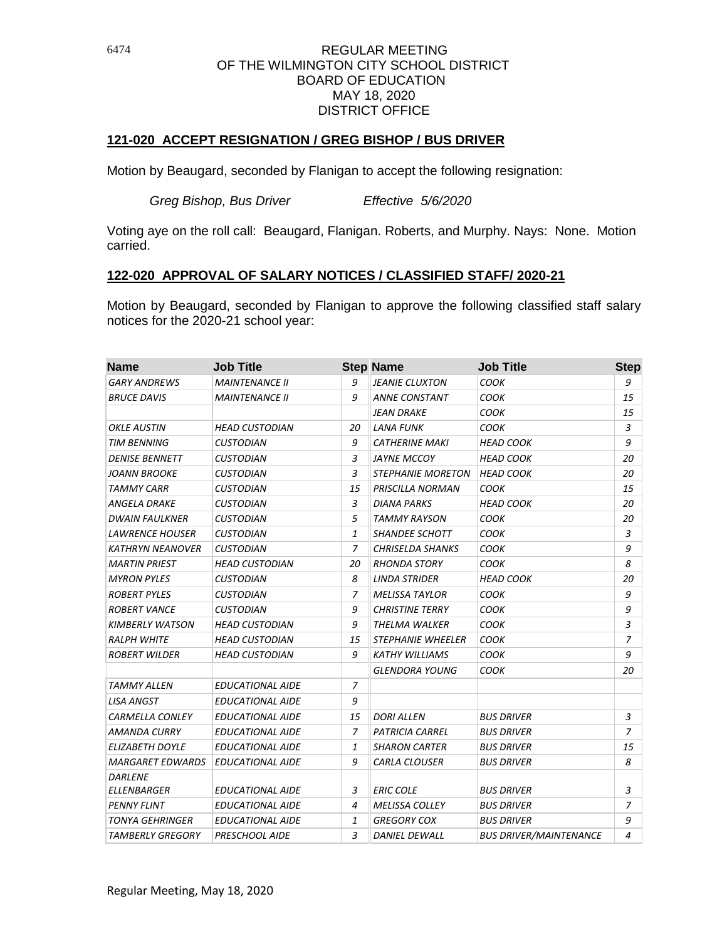## **121-020 ACCEPT RESIGNATION / GREG BISHOP / BUS DRIVER**

Motion by Beaugard, seconded by Flanigan to accept the following resignation:

*Greg Bishop, Bus Driver Effective 5/6/2020* 

Voting aye on the roll call: Beaugard, Flanigan. Roberts, and Murphy. Nays: None. Motion carried.

## **122-020 APPROVAL OF SALARY NOTICES / CLASSIFIED STAFF/ 2020-21**

Motion by Beaugard, seconded by Flanigan to approve the following classified staff salary notices for the 2020-21 school year:

| <b>Name</b>             | <b>Job Title</b>        |    | <b>Step Name</b>         | <b>Job Title</b>              | <b>Step</b> |
|-------------------------|-------------------------|----|--------------------------|-------------------------------|-------------|
| <b>GARY ANDREWS</b>     | <b>MAINTENANCE II</b>   | 9  | <b>JEANIE CLUXTON</b>    | <b>COOK</b>                   | 9           |
| <b>BRUCE DAVIS</b>      | <b>MAINTENANCE II</b>   | 9  | <b>ANNE CONSTANT</b>     | СООК                          | 15          |
|                         |                         |    | JEAN DRAKE               | <b>COOK</b>                   | 15          |
| OKLE AUSTIN             | <b>HEAD CUSTODIAN</b>   | 20 | <b>LANA FUNK</b>         | <b>COOK</b>                   | 3           |
| <b>TIM BENNING</b>      | <b>CUSTODIAN</b>        | 9  | <b>CATHERINE MAKI</b>    | <b>HEAD COOK</b>              | 9           |
| <b>DENISE BENNETT</b>   | CUSTODIAN               | 3  | JAYNE MCCOY              | HEAD COOK                     | 20          |
| <b>JOANN BROOKE</b>     | <b>CUSTODIAN</b>        | 3  | <b>STEPHANIE MORETON</b> | <b>HEAD COOK</b>              | 20          |
| TAMMY CARR              | CUSTODIAN               | 15 | PRISCILLA NORMAN         | соок                          | 15          |
| ANGELA DRAKE            | <b>CUSTODIAN</b>        | 3  | <b>DIANA PARKS</b>       | <b>HEAD COOK</b>              | 20          |
| <b>DWAIN FAULKNER</b>   | <b>CUSTODIAN</b>        | 5  | <b>TAMMY RAYSON</b>      | <b>COOK</b>                   | 20          |
| <b>LAWRENCE HOUSER</b>  | <b>CUSTODIAN</b>        | 1  | <b>SHANDEE SCHOTT</b>    | СООК                          | 3           |
| KATHRYN NEANOVER        | CUSTODIAN               | 7  | <b>CHRISELDA SHANKS</b>  | соок                          | 9           |
| <b>MARTIN PRIEST</b>    | <b>HEAD CUSTODIAN</b>   | 20 | <b>RHONDA STORY</b>      | <b>COOK</b>                   | 8           |
| <b>MYRON PYLES</b>      | <b>CUSTODIAN</b>        | 8  | LINDA STRIDER            | <b>HEAD COOK</b>              | 20          |
| <b>ROBERT PYLES</b>     | <b>CUSTODIAN</b>        | 7  | <b>MELISSA TAYLOR</b>    | соок                          | 9           |
| <b>ROBERT VANCE</b>     | <b>CUSTODIAN</b>        | 9  | <b>CHRISTINE TERRY</b>   | <b>COOK</b>                   | 9           |
| <b>KIMBERLY WATSON</b>  | <b>HEAD CUSTODIAN</b>   | 9  | THELMA WALKER            | СООК                          | 3           |
| <b>RALPH WHITE</b>      | <b>HEAD CUSTODIAN</b>   | 15 | <b>STEPHANIE WHEELER</b> | соок                          | 7           |
| <b>ROBERT WILDER</b>    | <b>HEAD CUSTODIAN</b>   | 9  | <b>KATHY WILLIAMS</b>    | COOK                          | 9           |
|                         |                         |    | GLENDORA YOUNG           | <b>COOK</b>                   | 20          |
| TAMMY ALLEN             | <b>EDUCATIONAL AIDE</b> | 7  |                          |                               |             |
| <b>LISA ANGST</b>       | <b>EDUCATIONAL AIDE</b> | 9  |                          |                               |             |
| <b>CARMELLA CONLEY</b>  | <b>EDUCATIONAL AIDE</b> | 15 | <b>DORI ALLEN</b>        | <b>BUS DRIVER</b>             | 3           |
| <b>AMANDA CURRY</b>     | <b>EDUCATIONAL AIDE</b> | 7  | <b>PATRICIA CARREL</b>   | <b>BUS DRIVER</b>             | 7           |
| ELIZABETH DOYLE         | <b>EDUCATIONAL AIDE</b> | 1  | <b>SHARON CARTER</b>     | <b>BUS DRIVER</b>             | 15          |
| <i>MARGARET EDWARDS</i> | <b>EDUCATIONAL AIDE</b> | 9  | <b>CARLA CLOUSER</b>     | <b>BUS DRIVER</b>             | 8           |
| <b>DARLENE</b>          |                         |    |                          |                               |             |
| ELLENBARGER             | <i>EDUCATIONAL AIDE</i> | 3  | <b>ERIC COLE</b>         | <b>BUS DRIVER</b>             | 3           |
| <b>PENNY FLINT</b>      | <b>EDUCATIONAL AIDE</b> | 4  | <b>MELISSA COLLEY</b>    | <b>BUS DRIVER</b>             | 7           |
| TONYA GEHRINGER         | <i>EDUCATIONAL AIDE</i> | 1  | <b>GREGORY COX</b>       | <b>BUS DRIVER</b>             | 9           |
| <b>TAMBERLY GREGORY</b> | <b>PRESCHOOL AIDE</b>   | 3  | <b>DANIEL DEWALL</b>     | <b>BUS DRIVER/MAINTENANCE</b> | 4           |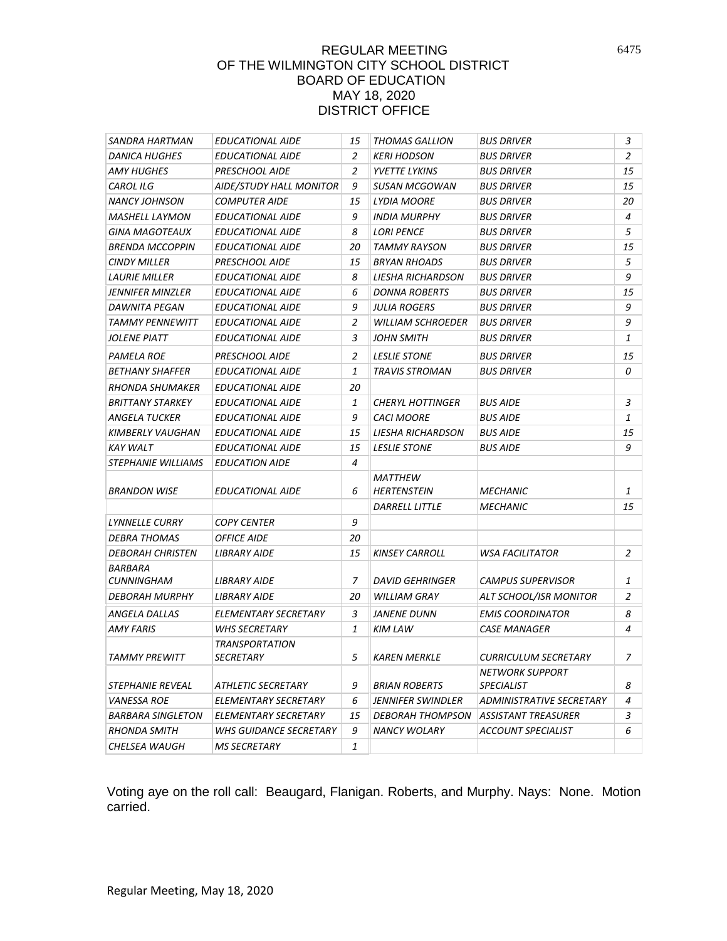| SANDRA HARTMAN            | <b>EDUCATIONAL AIDE</b>       | 15 | <b>THOMAS GALLION</b>                | <b>BUS DRIVER</b>               | 3  |
|---------------------------|-------------------------------|----|--------------------------------------|---------------------------------|----|
| <b>DANICA HUGHES</b>      | <b>EDUCATIONAL AIDE</b>       | 2  | <b>KERI HODSON</b>                   | <b>BUS DRIVER</b>               | 2  |
| AMY HUGHES                | PRESCHOOL AIDE                | 2  | <b>YVETTE LYKINS</b>                 | <b>BUS DRIVER</b>               | 15 |
| <b>CAROL ILG</b>          | AIDE/STUDY HALL MONITOR       | 9  | SUSAN MCGOWAN                        | <b>BUS DRIVER</b>               | 15 |
| NANCY JOHNSON             | <b>COMPUTER AIDE</b>          | 15 | LYDIA MOORE                          | <b>BUS DRIVER</b>               | 20 |
| <b>MASHELL LAYMON</b>     | <b>EDUCATIONAL AIDE</b>       | 9  | <b>INDIA MURPHY</b>                  | <b>BUS DRIVER</b>               | 4  |
| GINA MAGOTEAUX            | <b>EDUCATIONAL AIDE</b>       | 8  | <b>LORI PENCE</b>                    | <b>BUS DRIVER</b>               | 5  |
| <b>BRENDA MCCOPPIN</b>    | <i>EDUCATIONAL AIDE</i>       | 20 | TAMMY RAYSON                         | <b>BUS DRIVER</b>               | 15 |
| <b>CINDY MILLER</b>       | <b>PRESCHOOL AIDE</b>         | 15 | <b>BRYAN RHOADS</b>                  | <b>BUS DRIVER</b>               | 5  |
| <b>LAURIE MILLER</b>      | <b>EDUCATIONAL AIDE</b>       | 8  | LIESHA RICHARDSON                    | <b>BUS DRIVER</b>               | 9  |
| JENNIFER MINZLER          | <b>EDUCATIONAL AIDE</b>       | 6  | <b>DONNA ROBERTS</b>                 | <b>BUS DRIVER</b>               | 15 |
| DAWNITA PEGAN             | <b>EDUCATIONAL AIDE</b>       | 9  | JULIA ROGERS                         | <b>BUS DRIVER</b>               | 9  |
| TAMMY PENNEWITT           | <b>EDUCATIONAL AIDE</b>       | 2  | <b>WILLIAM SCHROEDER</b>             | <b>BUS DRIVER</b>               | 9  |
| JOLENE PIATT              | <b>EDUCATIONAL AIDE</b>       | 3  | JOHN SMITH                           | <b>BUS DRIVER</b>               | 1  |
| PAMELA ROE                | <b>PRESCHOOL AIDE</b>         | 2  | <b>LESLIE STONE</b>                  | <b>BUS DRIVER</b>               | 15 |
| <b>BETHANY SHAFFER</b>    | <b>EDUCATIONAL AIDE</b>       | 1  | <b>TRAVIS STROMAN</b>                | <b>BUS DRIVER</b>               | 0  |
| RHONDA SHUMAKER           | <b>EDUCATIONAL AIDE</b>       | 20 |                                      |                                 |    |
| <b>BRITTANY STARKEY</b>   | <b>EDUCATIONAL AIDE</b>       | 1  | <b>CHERYL HOTTINGER</b>              | <b>BUS AIDE</b>                 | 3  |
| ANGELA TUCKER             | <i>EDUCATIONAL AIDE</i>       | 9  | <b>CACI MOORE</b>                    | <b>BUS AIDE</b>                 | 1  |
| KIMBERLY VAUGHAN          | <i>EDUCATIONAL AIDE</i>       | 15 | LIESHA RICHARDSON                    | <b>BUS AIDE</b>                 | 15 |
| <b>KAY WALT</b>           | <b>EDUCATIONAL AIDE</b>       | 15 | <b>LESLIE STONE</b>                  | <b>BUS AIDE</b>                 | 9  |
| <i>STEPHANIE WILLIAMS</i> | <b>EDUCATION AIDE</b>         | 4  |                                      |                                 |    |
| <b>BRANDON WISE</b>       | <b>EDUCATIONAL AIDE</b>       | 6  | <b>MATTHEW</b><br><b>HERTENSTEIN</b> | <b>MECHANIC</b>                 | 1  |
|                           |                               |    | <b>DARRELL LITTLE</b>                | <b>MECHANIC</b>                 | 15 |
| <b>LYNNELLE CURRY</b>     | <b>COPY CENTER</b>            | 9  |                                      |                                 |    |
| DEBRA THOMAS              | <i>OFFICE AIDE</i>            | 20 |                                      |                                 |    |
| <b>DEBORAH CHRISTEN</b>   | LIBRARY AIDE                  | 15 | <b>KINSEY CARROLL</b>                | WSA FACILITATOR                 | 2  |
| BARBARA                   |                               |    |                                      |                                 |    |
| <b>CUNNINGHAM</b>         | LIBRARY AIDE                  | 7  | <b>DAVID GEHRINGER</b>               | <b>CAMPUS SUPERVISOR</b>        | 1  |
| DEBORAH MURPHY            | <b>LIBRARY AIDE</b>           | 20 | <b>WILLIAM GRAY</b>                  | ALT SCHOOL/ISR MONITOR          | 2  |
| ANGELA DALLAS             | ELEMENTARY SECRETARY          | 3  | JANENE DUNN                          | <b>EMIS COORDINATOR</b>         | 8  |
| AMY FARIS                 | <b>WHS SECRETARY</b>          | 1  | KIM LAW                              | <b>CASE MANAGER</b>             | 4  |
|                           | <b>TRANSPORTATION</b>         |    |                                      |                                 |    |
| <b>TAMMY PREWITT</b>      | SECRETARY                     | 5  | <b>KAREN MERKLE</b>                  | <b>CURRICULUM SECRETARY</b>     | 7  |
|                           |                               |    |                                      | <b>NETWORK SUPPORT</b>          |    |
| <i>STEPHANIE REVEAL</i>   | ATHLETIC SECRETARY            | 9  | <b>BRIAN ROBERTS</b>                 | <b>SPECIALIST</b>               | 8  |
| <b>VANESSA ROE</b>        | ELEMENTARY SECRETARY          | 6  | JENNIFER SWINDLER                    | <b>ADMINISTRATIVE SECRETARY</b> | 4  |
| <b>BARBARA SINGLETON</b>  | ELEMENTARY SECRETARY          | 15 | <b>DEBORAH THOMPSON</b>              | <b>ASSISTANT TREASURER</b>      | 3  |
| <b>RHONDA SMITH</b>       | <b>WHS GUIDANCE SECRETARY</b> | 9  | <b>NANCY WOLARY</b>                  | <b>ACCOUNT SPECIALIST</b>       | 6  |
| CHELSEA WAUGH             | <b>MS SECRETARY</b>           | 1  |                                      |                                 |    |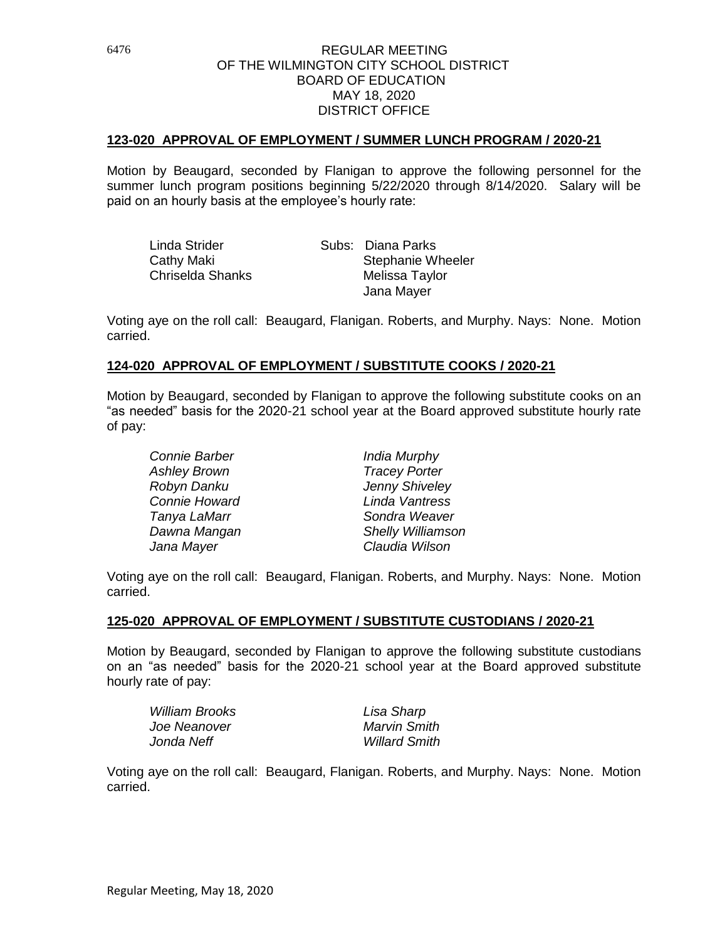#### **123-020 APPROVAL OF EMPLOYMENT / SUMMER LUNCH PROGRAM / 2020-21**

Motion by Beaugard, seconded by Flanigan to approve the following personnel for the summer lunch program positions beginning 5/22/2020 through 8/14/2020. Salary will be paid on an hourly basis at the employee's hourly rate:

| Linda Strider    | Subs: Diana Parks        |
|------------------|--------------------------|
| Cathy Maki       | <b>Stephanie Wheeler</b> |
| Chriselda Shanks | Melissa Taylor           |
|                  | Jana Mayer               |

Voting aye on the roll call: Beaugard, Flanigan. Roberts, and Murphy. Nays: None. Motion carried.

#### **124-020 APPROVAL OF EMPLOYMENT / SUBSTITUTE COOKS / 2020-21**

Motion by Beaugard, seconded by Flanigan to approve the following substitute cooks on an "as needed" basis for the 2020-21 school year at the Board approved substitute hourly rate of pay:

| Connie Barber        | India Murphy         |  |
|----------------------|----------------------|--|
| Ashley Brown         | <b>Tracey Porter</b> |  |
| Robyn Danku          | Jenny Shiveley       |  |
| <b>Connie Howard</b> | Linda Vantress       |  |
| Tanya LaMarr         | Sondra Weaver        |  |
| Dawna Mangan         | Shelly Williamson    |  |
| Jana Mayer           | Claudia Wilson       |  |

Voting aye on the roll call: Beaugard, Flanigan. Roberts, and Murphy. Nays: None. Motion carried.

#### **125-020 APPROVAL OF EMPLOYMENT / SUBSTITUTE CUSTODIANS / 2020-21**

Motion by Beaugard, seconded by Flanigan to approve the following substitute custodians on an "as needed" basis for the 2020-21 school year at the Board approved substitute hourly rate of pay:

| Lisa Sharp           |
|----------------------|
| Marvin Smith         |
| <b>Willard Smith</b> |
|                      |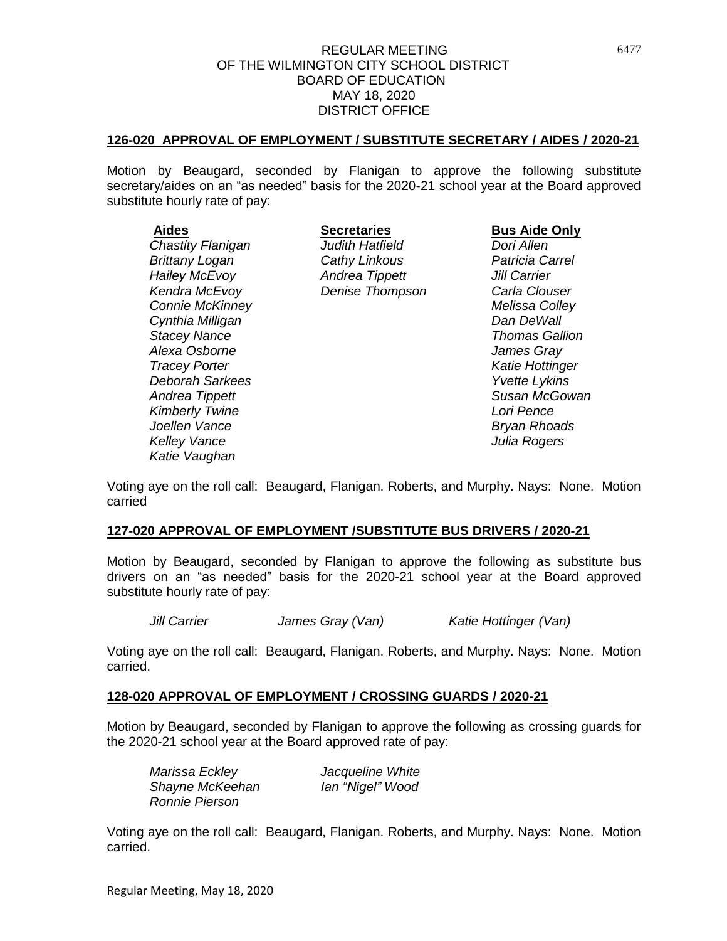#### **126-020 APPROVAL OF EMPLOYMENT / SUBSTITUTE SECRETARY / AIDES / 2020-21**

Motion by Beaugard, seconded by Flanigan to approve the following substitute secretary/aides on an "as needed" basis for the 2020-21 school year at the Board approved substitute hourly rate of pay:

*Katie Vaughan*

*Chastity Flanigan Judith Hatfield Dori Allen Brittany Logan Cathy Linkous Patricia Carrel Hailey McEvoy Andrea Tippett Jill Carrier Kendra McEvoy Denise Thompson Carla Clouser Connie McKinney Melissa Colley*

**Aides Secretaries Bus Aide Only**

*Cynthia Milligan Dan DeWall Stacey Nance Thomas Gallion Alexa Osborne James Gray Tracey Porter Katie Hottinger Deborah Sarkees Yvette Lykins Andrea Tippett Susan McGowan Kimberly Twine Lori Pence Joellen Vance Bryan Rhoads Kelley Vance Julia Rogers*

Voting aye on the roll call: Beaugard, Flanigan. Roberts, and Murphy. Nays: None. Motion carried

#### **127-020 APPROVAL OF EMPLOYMENT /SUBSTITUTE BUS DRIVERS / 2020-21**

Motion by Beaugard, seconded by Flanigan to approve the following as substitute bus drivers on an "as needed" basis for the 2020-21 school year at the Board approved substitute hourly rate of pay:

*Jill Carrier James Gray (Van) Katie Hottinger (Van)*

Voting aye on the roll call: Beaugard, Flanigan. Roberts, and Murphy. Nays: None. Motion carried.

#### **128-020 APPROVAL OF EMPLOYMENT / CROSSING GUARDS / 2020-21**

Motion by Beaugard, seconded by Flanigan to approve the following as crossing guards for the 2020-21 school year at the Board approved rate of pay:

*Marissa Eckley Jacqueline White Shayne McKeehan Ian "Nigel" Wood Ronnie Pierson*